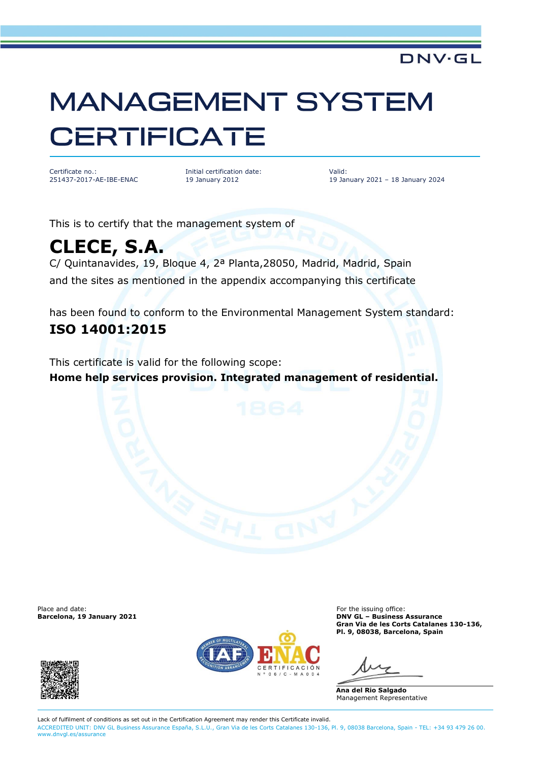## **MANAGEMENT SYSTEM CERTIFICATE**

Certificate no.: 251437-2017-AE-IBE-ENAC Initial certification date: 19 January 2012

Valid: 19 January 2021 – 18 January 2024

**DNV·GL** 

This is to certify that the management system of

## **CLECE, S.A.**

C/ Quintanavides, 19, Bloque 4, 2ª Planta,28050, Madrid, Madrid, Spain and the sites as mentioned in the appendix accompanying this certificate

has been found to conform to the Environmental Management System standard: **ISO 14001:2015**

This certificate is valid for the following scope: **Home help services provision. Integrated management of residential.**

Place and date: **For the issuing office:** For the issuing office:





**Barcelona, 19 January 2021 DNV GL – Business Assurance Gran Via de les Corts Catalanes 130-136, Pl. 9, 08038, Barcelona, Spain**

**Ana del Rio Salgado** Management Representative

Lack of fulfilment of conditions as set out in the Certification Agreement may render this Certificate invalid. ACCREDITED UNIT: DNV GL Business Assurance España, S.L.U., Gran Via de les Corts Catalanes 130-136, Pl. 9, 08038 Barcelona, Spain - TEL: +34 93 479 26 00. [www.dnvgl.es/assurance](http://www.dnvgl.es/assurance)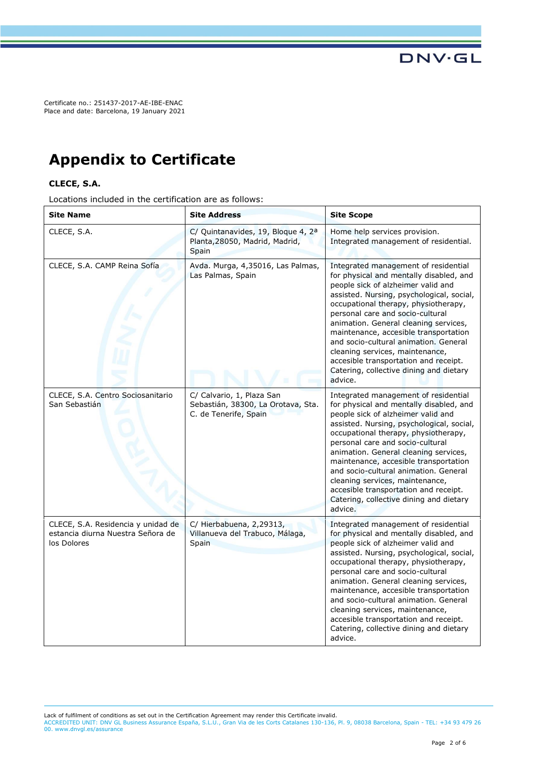Certificate no.: 251437-2017-AE-IBE-ENAC Place and date: Barcelona, 19 January 2021

## **Appendix to Certificate**

## **CLECE, S.A.**

Locations included in the certification are as follows:

| <b>Site Name</b>                                                                       | <b>Site Address</b>                                                                       | <b>Site Scope</b>                                                                                                                                                                                                                                                                                                                                                                                                                                                                                           |
|----------------------------------------------------------------------------------------|-------------------------------------------------------------------------------------------|-------------------------------------------------------------------------------------------------------------------------------------------------------------------------------------------------------------------------------------------------------------------------------------------------------------------------------------------------------------------------------------------------------------------------------------------------------------------------------------------------------------|
| CLECE, S.A.                                                                            | C/ Quintanavides, 19, Bloque 4, 2 <sup>a</sup><br>Planta, 28050, Madrid, Madrid,<br>Spain | Home help services provision.<br>Integrated management of residential.                                                                                                                                                                                                                                                                                                                                                                                                                                      |
| CLECE, S.A. CAMP Reina Sofía                                                           | Avda. Murga, 4,35016, Las Palmas,<br>Las Palmas, Spain                                    | Integrated management of residential<br>for physical and mentally disabled, and<br>people sick of alzheimer valid and<br>assisted. Nursing, psychological, social,<br>occupational therapy, physiotherapy,<br>personal care and socio-cultural<br>animation. General cleaning services,<br>maintenance, accesible transportation<br>and socio-cultural animation. General<br>cleaning services, maintenance,<br>accesible transportation and receipt.<br>Catering, collective dining and dietary<br>advice. |
| CLECE, S.A. Centro Sociosanitario<br>San Sebastián                                     | C/ Calvario, 1, Plaza San<br>Sebastián, 38300, La Orotava, Sta.<br>C. de Tenerife, Spain  | Integrated management of residential<br>for physical and mentally disabled, and<br>people sick of alzheimer valid and<br>assisted. Nursing, psychological, social,<br>occupational therapy, physiotherapy,<br>personal care and socio-cultural<br>animation. General cleaning services,<br>maintenance, accesible transportation<br>and socio-cultural animation. General<br>cleaning services, maintenance,<br>accesible transportation and receipt.<br>Catering, collective dining and dietary<br>advice. |
| CLECE, S.A. Residencia y unidad de<br>estancia diurna Nuestra Señora de<br>los Dolores | C/ Hierbabuena, 2,29313,<br>Villanueva del Trabuco, Málaga,<br>Spain                      | Integrated management of residential<br>for physical and mentally disabled, and<br>people sick of alzheimer valid and<br>assisted. Nursing, psychological, social,<br>occupational therapy, physiotherapy,<br>personal care and socio-cultural<br>animation. General cleaning services,<br>maintenance, accesible transportation<br>and socio-cultural animation. General<br>cleaning services, maintenance,<br>accesible transportation and receipt.<br>Catering, collective dining and dietary<br>advice. |

Lack of fulfilment of conditions as set out in the Certification Agreement may render this Certificate invalid.

ACCREDITED UNIT: DNV GL Business Assurance España, S.L.U., Gran Via de les Corts Catalanes 130-136, Pl. 9, 08038 Barcelona, Spain - TEL: +34 93 479 26 00. [www.dnvgl.es/assurance](http://www.dnvgl.es/assurance)

**DNV·GL**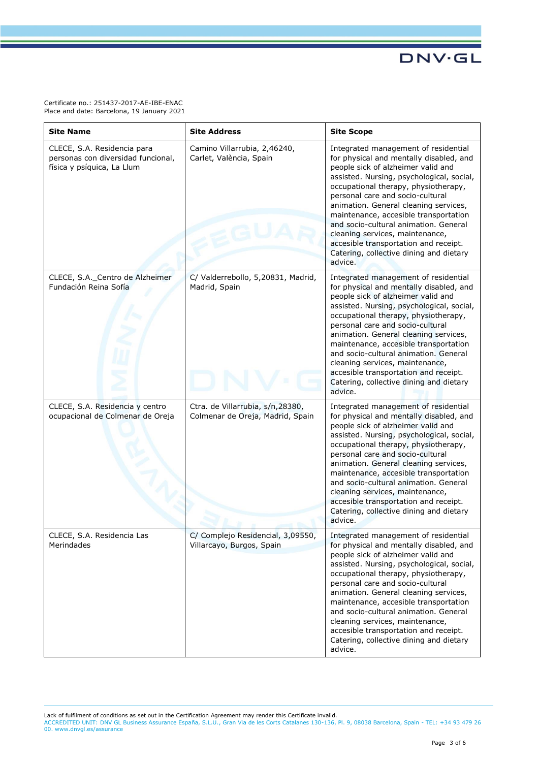Certificate no.: 251437-2017-AE-IBE-ENAC Place and date: Barcelona, 19 January 2021

| <b>Site Name</b>                                                                                | <b>Site Address</b>                                                  | <b>Site Scope</b>                                                                                                                                                                                                                                                                                                                                                                                                                                                                                           |
|-------------------------------------------------------------------------------------------------|----------------------------------------------------------------------|-------------------------------------------------------------------------------------------------------------------------------------------------------------------------------------------------------------------------------------------------------------------------------------------------------------------------------------------------------------------------------------------------------------------------------------------------------------------------------------------------------------|
| CLECE, S.A. Residencia para<br>personas con diversidad funcional,<br>física y psíquica, La Llum | Camino Villarrubia, 2,46240,<br>Carlet, València, Spain              | Integrated management of residential<br>for physical and mentally disabled, and<br>people sick of alzheimer valid and<br>assisted. Nursing, psychological, social,<br>occupational therapy, physiotherapy,<br>personal care and socio-cultural<br>animation. General cleaning services,<br>maintenance, accesible transportation<br>and socio-cultural animation. General<br>cleaning services, maintenance,<br>accesible transportation and receipt.<br>Catering, collective dining and dietary<br>advice. |
| CLECE, S.A._Centro de Alzheimer<br>Fundación Reina Sofía                                        | C/ Valderrebollo, 5,20831, Madrid,<br>Madrid, Spain                  | Integrated management of residential<br>for physical and mentally disabled, and<br>people sick of alzheimer valid and<br>assisted. Nursing, psychological, social,<br>occupational therapy, physiotherapy,<br>personal care and socio-cultural<br>animation. General cleaning services,<br>maintenance, accesible transportation<br>and socio-cultural animation. General<br>cleaning services, maintenance,<br>accesible transportation and receipt.<br>Catering, collective dining and dietary<br>advice. |
| CLECE, S.A. Residencia y centro<br>ocupacional de Colmenar de Oreja                             | Ctra. de Villarrubia, s/n,28380,<br>Colmenar de Oreja, Madrid, Spain | Integrated management of residential<br>for physical and mentally disabled, and<br>people sick of alzheimer valid and<br>assisted. Nursing, psychological, social,<br>occupational therapy, physiotherapy,<br>personal care and socio-cultural<br>animation. General cleaning services,<br>maintenance, accesible transportation<br>and socio-cultural animation. General<br>cleaning services, maintenance,<br>accesible transportation and receipt.<br>Catering, collective dining and dietary<br>advice. |
| CLECE, S.A. Residencia Las<br>Merindades                                                        | C/ Complejo Residencial, 3,09550,<br>Villarcayo, Burgos, Spain       | Integrated management of residential<br>for physical and mentally disabled, and<br>people sick of alzheimer valid and<br>assisted. Nursing, psychological, social,<br>occupational therapy, physiotherapy,<br>personal care and socio-cultural<br>animation. General cleaning services,<br>maintenance, accesible transportation<br>and socio-cultural animation. General<br>cleaning services, maintenance,<br>accesible transportation and receipt.<br>Catering, collective dining and dietary<br>advice. |

Lack of fulfilment of conditions as set out in the Certification Agreement may render this Certificate invalid.<br>ACCREDITED UNIT: DNV GL Business Assurance España, S.L.U., Gran Via de les Corts Catalanes 130-136, Pl. 9, 080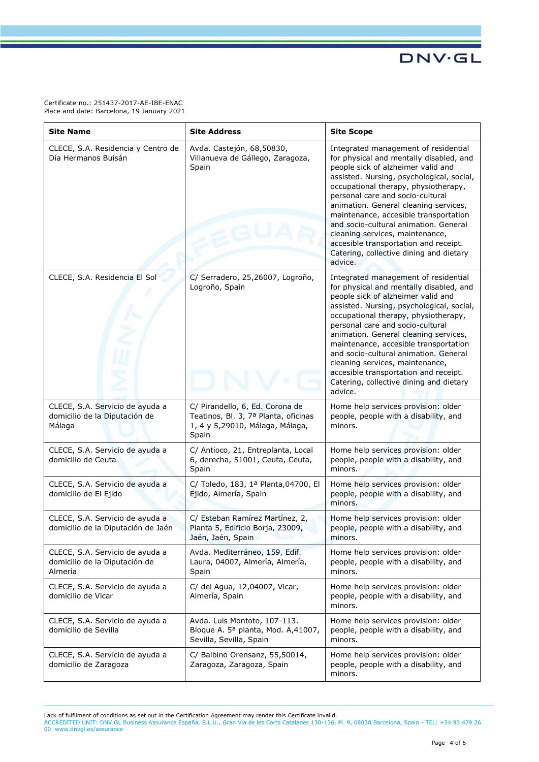Certificate no.: 251437-2017-AE-IBE-ENAC Place and date: Barcelona, 19 January 2021

| <b>Site Name</b>                                                            | <b>Site Address</b>                                                                                                 | <b>Site Scope</b>                                                                                                                                                                                                                                                                                                                                                                                                                                                                                           |
|-----------------------------------------------------------------------------|---------------------------------------------------------------------------------------------------------------------|-------------------------------------------------------------------------------------------------------------------------------------------------------------------------------------------------------------------------------------------------------------------------------------------------------------------------------------------------------------------------------------------------------------------------------------------------------------------------------------------------------------|
| CLECE, S.A. Residencia y Centro de<br>Día Hermanos Buisán                   | Avda. Castejón, 68,50830,<br>Villanueva de Gállego, Zaragoza,<br>Spain                                              | Integrated management of residential<br>for physical and mentally disabled, and<br>people sick of alzheimer valid and<br>assisted. Nursing, psychological, social,<br>occupational therapy, physiotherapy,<br>personal care and socio-cultural<br>animation. General cleaning services,<br>maintenance, accesible transportation<br>and socio-cultural animation. General<br>cleaning services, maintenance,<br>accesible transportation and receipt.<br>Catering, collective dining and dietary<br>advice. |
| CLECE, S.A. Residencia El Sol                                               | C/ Serradero, 25,26007, Logroño,<br>Logroño, Spain                                                                  | Integrated management of residential<br>for physical and mentally disabled, and<br>people sick of alzheimer valid and<br>assisted. Nursing, psychological, social,<br>occupational therapy, physiotherapy,<br>personal care and socio-cultural<br>animation. General cleaning services,<br>maintenance, accesible transportation<br>and socio-cultural animation. General<br>cleaning services, maintenance,<br>accesible transportation and receipt.<br>Catering, collective dining and dietary<br>advice. |
| CLECE, S.A. Servicio de ayuda a<br>domicilio de la Diputación de<br>Málaga  | C/ Pirandello, 6, Ed. Corona de<br>Teatinos, Bl. 3, 7ª Planta, oficinas<br>1, 4 y 5,29010, Málaga, Málaga,<br>Spain | Home help services provision: older<br>people, people with a disability, and<br>minors.                                                                                                                                                                                                                                                                                                                                                                                                                     |
| CLECE, S.A. Servicio de ayuda a<br>domicilio de Ceuta                       | C/ Antioco, 21, Entreplanta, Local<br>6, derecha, 51001, Ceuta, Ceuta,<br>Spain                                     | Home help services provision: older<br>people, people with a disability, and<br>minors.                                                                                                                                                                                                                                                                                                                                                                                                                     |
| CLECE, S.A. Servicio de ayuda a<br>domicilio de El Ejido                    | C/ Toledo, 183, 1ª Planta, 04700, El<br>Ejido, Almería, Spain                                                       | Home help services provision: older<br>people, people with a disability, and<br>minors.                                                                                                                                                                                                                                                                                                                                                                                                                     |
| CLECE, S.A. Servicio de ayuda a<br>domicilio de la Diputación de Jaén       | C/ Esteban Ramírez Martínez, 2,<br>Planta 5, Edificio Borja, 23009,<br>Jaén, Jaén, Spain                            | Home help services provision: older<br>people, people with a disability, and<br>minors.                                                                                                                                                                                                                                                                                                                                                                                                                     |
| CLECE, S.A. Servicio de ayuda a<br>domicilio de la Diputación de<br>Almería | Avda. Mediterráneo, 159, Edif.<br>Laura, 04007, Almería, Almería,<br>Spain                                          | Home help services provision: older<br>people, people with a disability, and<br>minors.                                                                                                                                                                                                                                                                                                                                                                                                                     |
| CLECE, S.A. Servicio de ayuda a<br>domicilio de Vicar                       | C/ del Agua, 12,04007, Vicar,<br>Almería, Spain                                                                     | Home help services provision: older<br>people, people with a disability, and<br>minors.                                                                                                                                                                                                                                                                                                                                                                                                                     |
| CLECE, S.A. Servicio de ayuda a<br>domicilio de Sevilla                     | Avda. Luis Montoto, 107-113.<br>Bloque A. 5ª planta, Mod. A,41007,<br>Sevilla, Sevilla, Spain                       | Home help services provision: older<br>people, people with a disability, and<br>minors.                                                                                                                                                                                                                                                                                                                                                                                                                     |
| CLECE, S.A. Servicio de ayuda a<br>domicilio de Zaragoza                    | C/ Balbino Orensanz, 55,50014,<br>Zaragoza, Zaragoza, Spain                                                         | Home help services provision: older<br>people, people with a disability, and<br>minors.                                                                                                                                                                                                                                                                                                                                                                                                                     |

Lack of fulfilment of conditions as set out in the Certification Agreement may render this Certificate invalid.<br>ACCREDITED UNIT: DNV GL Business Assurance España, S.L.U., Gran Via de les Corts Catalanes 130-136, Pl. 9, 080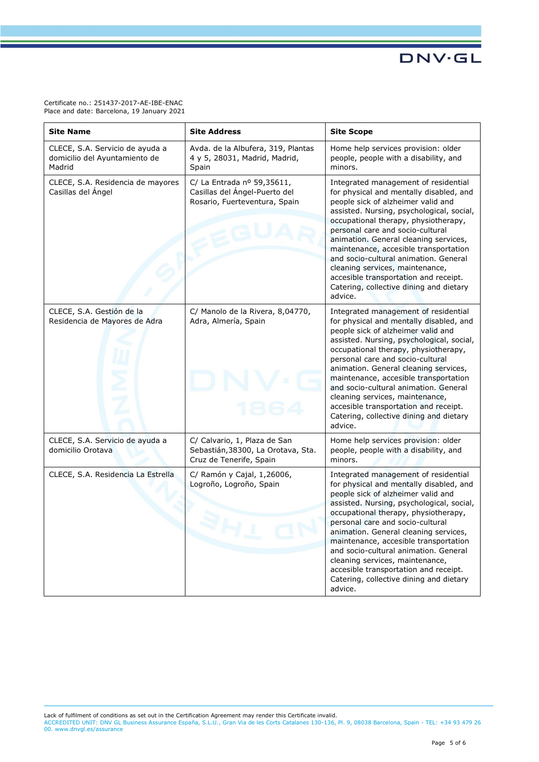Certificate no.: 251437-2017-AE-IBE-ENAC Place and date: Barcelona, 19 January 2021

| <b>Site Name</b>                                                           | <b>Site Address</b>                                                                           | <b>Site Scope</b>                                                                                                                                                                                                                                                                                                                                                                                                                                                                                           |
|----------------------------------------------------------------------------|-----------------------------------------------------------------------------------------------|-------------------------------------------------------------------------------------------------------------------------------------------------------------------------------------------------------------------------------------------------------------------------------------------------------------------------------------------------------------------------------------------------------------------------------------------------------------------------------------------------------------|
| CLECE, S.A. Servicio de ayuda a<br>domicilio del Ayuntamiento de<br>Madrid | Avda. de la Albufera, 319, Plantas<br>4 y 5, 28031, Madrid, Madrid,<br>Spain                  | Home help services provision: older<br>people, people with a disability, and<br>minors.                                                                                                                                                                                                                                                                                                                                                                                                                     |
| CLECE, S.A. Residencia de mayores<br>Casillas del Ángel                    | C/ La Entrada nº 59,35611,<br>Casillas del Ángel-Puerto del<br>Rosario, Fuerteventura, Spain  | Integrated management of residential<br>for physical and mentally disabled, and<br>people sick of alzheimer valid and<br>assisted. Nursing, psychological, social,<br>occupational therapy, physiotherapy,<br>personal care and socio-cultural<br>animation. General cleaning services,<br>maintenance, accesible transportation<br>and socio-cultural animation. General<br>cleaning services, maintenance,<br>accesible transportation and receipt.<br>Catering, collective dining and dietary<br>advice. |
| CLECE, S.A. Gestión de la<br>Residencia de Mayores de Adra                 | C/ Manolo de la Rivera, 8,04770,<br>Adra, Almería, Spain                                      | Integrated management of residential<br>for physical and mentally disabled, and<br>people sick of alzheimer valid and<br>assisted. Nursing, psychological, social,<br>occupational therapy, physiotherapy,<br>personal care and socio-cultural<br>animation. General cleaning services,<br>maintenance, accesible transportation<br>and socio-cultural animation. General<br>cleaning services, maintenance,<br>accesible transportation and receipt.<br>Catering, collective dining and dietary<br>advice. |
| CLECE, S.A. Servicio de ayuda a<br>domicilio Orotava                       | C/ Calvario, 1, Plaza de San<br>Sebastián, 38300, La Orotava, Sta.<br>Cruz de Tenerife, Spain | Home help services provision: older<br>people, people with a disability, and<br>minors.                                                                                                                                                                                                                                                                                                                                                                                                                     |
| CLECE, S.A. Residencia La Estrella                                         | C/ Ramón y Cajal, 1,26006,<br>Logroño, Logroño, Spain<br>3H                                   | Integrated management of residential<br>for physical and mentally disabled, and<br>people sick of alzheimer valid and<br>assisted. Nursing, psychological, social,<br>occupational therapy, physiotherapy,<br>personal care and socio-cultural<br>animation. General cleaning services,<br>maintenance, accesible transportation<br>and socio-cultural animation. General<br>cleaning services, maintenance,<br>accesible transportation and receipt.<br>Catering, collective dining and dietary<br>advice. |

Lack of fulfilment of conditions as set out in the Certification Agreement may render this Certificate invalid.<br>ACCREDITED UNIT: DNV GL Business Assurance España, S.L.U., Gran Via de les Corts Catalanes 130-136, Pl. 9, 080